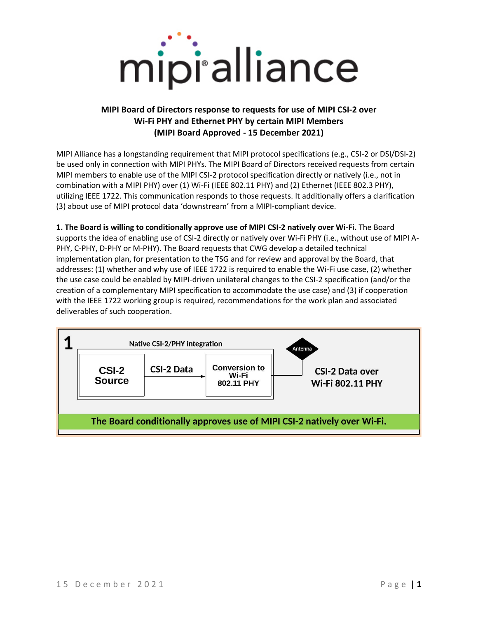

## **MIPI Board of Directors response to requests for use of MIPI CSI-2 over Wi-Fi PHY and Ethernet PHY by certain MIPI Members (MIPI Board Approved - 15 December 2021)**

MIPI Alliance has a longstanding requirement that MIPI protocol specifications (e.g., CSI-2 or DSI/DSI-2) be used only in connection with MIPI PHYs. The MIPI Board of Directors received requests from certain MIPI members to enable use of the MIPI CSI-2 protocol specification directly or natively (i.e., not in combination with a MIPI PHY) over (1) Wi-Fi (IEEE 802.11 PHY) and (2) Ethernet (IEEE 802.3 PHY), utilizing IEEE 1722. This communication responds to those requests. It additionally offers a clarification (3) about use of MIPI protocol data 'downstream' from a MIPI-compliant device.

**1. The Board is willing to conditionally approve use of MIPI CSI-2 natively over Wi-Fi.** The Board supports the idea of enabling use of CSI-2 directly or natively over Wi-Fi PHY (i.e., without use of MIPI A-PHY, C-PHY, D-PHY or M-PHY). The Board requests that CWG develop a detailed technical implementation plan, for presentation to the TSG and for review and approval by the Board, that addresses: (1) whether and why use of IEEE 1722 is required to enable the Wi-Fi use case, (2) whether the use case could be enabled by MIPI-driven unilateral changes to the CSI-2 specification (and/or the creation of a complementary MIPI specification to accommodate the use case) and (3) if cooperation with the IEEE 1722 working group is required, recommendations for the work plan and associated deliverables of such cooperation.

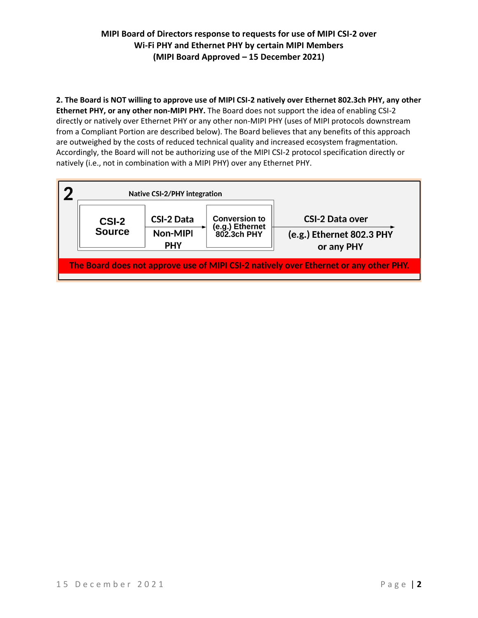## **MIPI Board of Directors response to requests for use of MIPI CSI-2 over Wi-Fi PHY and Ethernet PHY by certain MIPI Members (MIPI Board Approved – 15 December 2021)**

**2. The Board is NOT willing to approve use of MIPI CSI-2 natively over Ethernet 802.3ch PHY, any other Ethernet PHY, or any other non-MIPI PHY.** The Board does not support the idea of enabling CSI-2 directly or natively over Ethernet PHY or any other non-MIPI PHY (uses of MIPI protocols downstream from a Compliant Portion are described below). The Board believes that any benefits of this approach are outweighed by the costs of reduced technical quality and increased ecosystem fragmentation. Accordingly, the Board will not be authorizing use of the MIPI CSI-2 protocol specification directly or natively (i.e., not in combination with a MIPI PHY) over any Ethernet PHY.